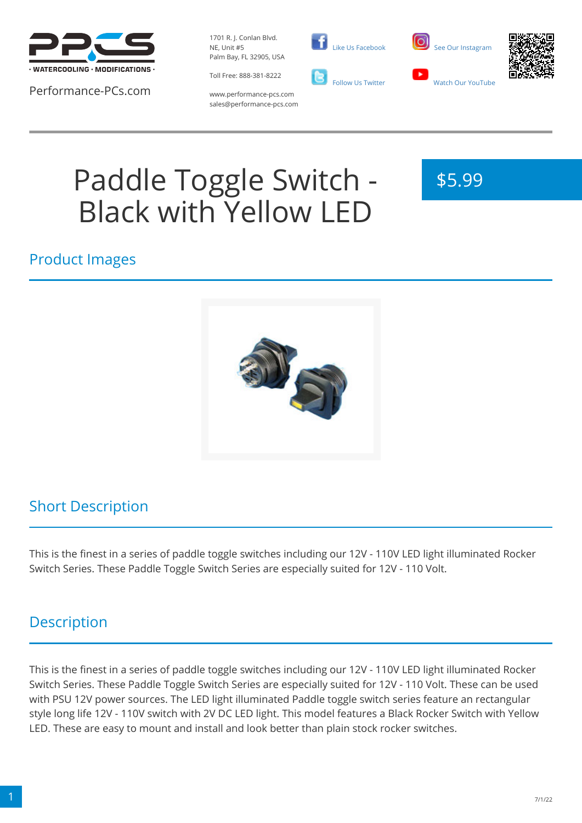

Performance-PCs.com

1701 R. J. Conlan Blvd. NE, Unit #5 Palm Bay, FL 32905, USA



 [Like Us Facebook](https://www.facebook.com/PerformancePCs)  [Follow Us Twitter](https://twitter.com/PerformancePCs)





www.performance-pcs.com sales@performance-pcs.com

# Paddle Toggle Switch - Black with Yellow LED



#### Product Images



## Short Description

This is the finest in a series of paddle toggle switches including our 12V - 110V LED light illuminated Rocker Switch Series. These Paddle Toggle Switch Series are especially suited for 12V - 110 Volt.

## **Description**

This is the finest in a series of paddle toggle switches including our 12V - 110V LED light illuminated Rocker Switch Series. These Paddle Toggle Switch Series are especially suited for 12V - 110 Volt. These can be used with PSU 12V power sources. The LED light illuminated Paddle toggle switch series feature an rectangular style long life 12V - 110V switch with 2V DC LED light. This model features a Black Rocker Switch with Yellow LED. These are easy to mount and install and look better than plain stock rocker switches.